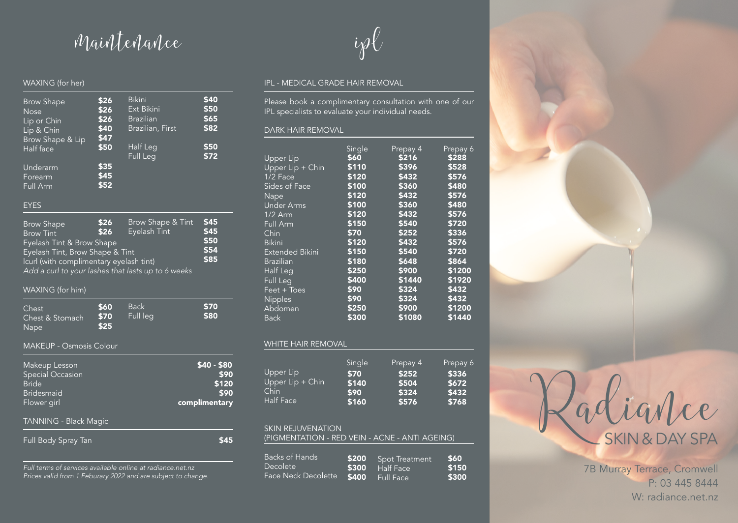## maintenance

### WAXING (for her)

| <b>Brow Shape</b><br>Nose<br>Lip or Chin<br>Lip & Chin<br><b>Brow Shape &amp; Lip</b><br>Half face<br>Underarm<br>Forearm | \$26<br>\$26<br>\$26<br>\$40<br>\$47<br>\$50<br>\$35<br>\$45 | <b>Bikini</b><br>Ext Bikini<br><b>Brazilian</b><br>Brazilian, First<br>Half Leg<br><b>Full Leg</b> | \$40<br>\$50<br>\$65<br>\$82<br>\$50<br>\$72 |
|---------------------------------------------------------------------------------------------------------------------------|--------------------------------------------------------------|----------------------------------------------------------------------------------------------------|----------------------------------------------|
| Full Arm<br><b>EYES</b>                                                                                                   | \$52                                                         |                                                                                                    |                                              |
| <b>Brow Shape</b><br><b>Brow Tint</b><br><b>Eyelash Tint &amp; Brow Shape</b><br>Eyelash Tint, Brow Shape & Tint          | \$26<br>\$26                                                 | Brow Shape & Tint<br>Eyelash Tint                                                                  | \$45<br>\$45<br>\$50<br>\$54                 |
| Icurl (with complimentary eyelash tint)<br>Add a curl to your lashes that lasts up to 6 weeks                             |                                                              |                                                                                                    | \$85                                         |

### WAXING (for him)

| Chest<br>Chest & Stomach<br><b>Nape</b> | <b>\$60</b><br><b>\$70</b><br>\$25 | <b>Back</b><br>Full lea | \$70<br>\$80 |
|-----------------------------------------|------------------------------------|-------------------------|--------------|
|                                         |                                    |                         |              |

### MAKEUP - Osmosis Colour

| Makeup Lesson<br><b>Special Occasion</b><br><b>Bride</b><br><b>Bridesmaid</b><br>Flower girl | \$40 - \$80<br>\$90<br>\$120<br>\$90<br>complimentary |
|----------------------------------------------------------------------------------------------|-------------------------------------------------------|
| <b>TANNING - Black Magic</b>                                                                 |                                                       |
| Full Body Spray Tan                                                                          |                                                       |

*Full terms of services available online at radiance.net.nz Prices valid from 1 Feburary 2022 and are subject to change.*

# ipl

### IPL - MEDICAL GRADE HAIR REMOVAL

Please book a complimentary consultation with one of our IPL specialists to evaluate your individual needs.

### DARK HAIR REMOVAL

|                        | Single | Prepay 4 | Prepay 6 |
|------------------------|--------|----------|----------|
| Upper Lip              | \$60   | \$216    | \$288    |
| Upper Lip + Chin       | \$110  | \$396    | \$528    |
| 1/2 Face               | \$120  | \$432    | \$576    |
| Sides of Face          | \$100  | \$360    | \$480    |
| <b>Nape</b>            | \$120  | \$432    | \$576    |
| <b>Under Arms</b>      | \$100  | \$360    | \$480    |
| $1/2$ Arm              | \$120  | \$432    | \$576    |
| Full Arm               | \$150  | \$540    | \$720    |
| Chin                   | \$70   | \$252    | \$336    |
| <b>Bikini</b>          | \$120  | \$432    | \$576    |
| <b>Extended Bikini</b> | \$150  | \$540    | \$720    |
| <b>Brazilian</b>       | \$180  | \$648    | \$864    |
| Half Leg               | \$250  | \$900    | \$1200   |
| Full Leg               | \$400  | \$1440   | \$1920   |
| Feet + Toes            | \$90   | \$324    | \$432    |
| Nipples                | \$90   | \$324    | \$432    |
| Abdomen                | \$250  | \$900    | \$1200   |
| <b>Back</b>            | \$300  | \$1080   | \$1440   |

### WHITE HAIR REMOVAL

|                  | Single | Prepay 4 | Prepay 6 |
|------------------|--------|----------|----------|
| Upper Lip        | \$70   | \$252    | \$336    |
| Upper Lip + Chin | \$140  | \$504    | \$672    |
| Chin             | \$90   | \$324    | \$432    |
| <b>Half Face</b> | \$160  | \$576    | \$768    |

### SKIN REJUVENATION

| <b>Backs of Hands</b>      | \$200 | <b>Spot Treatment</b> | <b>S60</b> |
|----------------------------|-------|-----------------------|------------|
| Decolete                   |       | $5300$ Half Face      | \$150      |
| <b>Face Neck Decolette</b> |       | $5400$ Full Face      | \$300      |



7B Murray Terrace, Cromwell P: 03 445 8444 W: radiance.net.nz